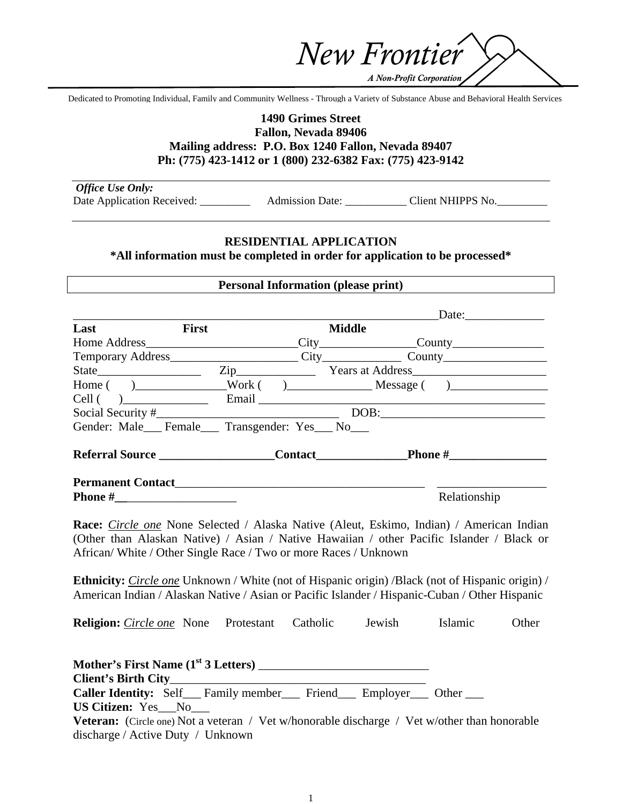*A Non-Profit Corporation*

*New Frontier*

Dedicated to Promoting Individual, Family and Community Wellness - Through a Variety of Substance Abuse and Behavioral Health Services

## **1490 Grimes Street Fallon, Nevada 89406 Mailing address: P.O. Box 1240 Fallon, Nevada 89407 Ph: (775) 423-1412 or 1 (800) 232-6382 Fax: (775) 423-9142**

| <b>Office Use Only:</b>    |                        |                   |
|----------------------------|------------------------|-------------------|
| Date Application Received: | <b>Admission Date:</b> | Client NHIPPS No. |

### **RESIDENTIAL APPLICATION**

**\*All information must be completed in order for application to be processed\*** 

#### **Personal Information (please print)**

|                                         |              |               | Date:                                      |
|-----------------------------------------|--------------|---------------|--------------------------------------------|
| Last                                    | <b>First</b> | <b>Middle</b> |                                            |
| Home Address                            |              |               |                                            |
|                                         |              |               |                                            |
| State                                   |              |               |                                            |
|                                         |              |               | $Home( )$ $)$ $Work( )$ $)$ $Message( )$   |
| $Cell$ ( )                              |              |               |                                            |
|                                         |              |               | $\boxed{\text{DOB:}\qquad \qquad \qquad }$ |
| Gender: Male Female Transgender: Yes No |              |               |                                            |
| Referral Source                         |              |               | <b>Phone #__________________</b>           |
| <b>Permanent Contact</b>                |              |               |                                            |
| <b>Phone</b> #                          |              |               | Relationship                               |

**Race:** *Circle one* None Selected / Alaska Native (Aleut, Eskimo, Indian) / American Indian (Other than Alaskan Native) / Asian / Native Hawaiian / other Pacific Islander / Black or African/ White / Other Single Race / Two or more Races / Unknown

**Ethnicity:** *Circle one* Unknown / White (not of Hispanic origin) / Black (not of Hispanic origin) / American Indian / Alaskan Native / Asian or Pacific Islander / Hispanic-Cuban / Other Hispanic

**Religion:** *Circle one* None Protestant Catholic Jewish Islamic Other

**Mother's First Name (1st 3 Letters)** \_\_\_\_\_\_\_\_\_\_\_\_\_\_\_\_\_\_\_\_\_\_\_\_\_\_\_\_ **Client's Birth City**\_\_\_\_\_\_\_\_\_\_\_\_\_\_\_\_\_\_\_\_\_\_\_\_\_\_\_\_\_\_\_\_\_\_\_\_\_\_\_\_\_\_ **Caller Identity:** Self Family member Friend Employer Other **US Citizen:** Yes\_\_\_No\_\_\_ **Veteran:** (Circle one) Not a veteran / Vet w/honorable discharge / Vet w/other than honorable discharge / Active Duty / Unknown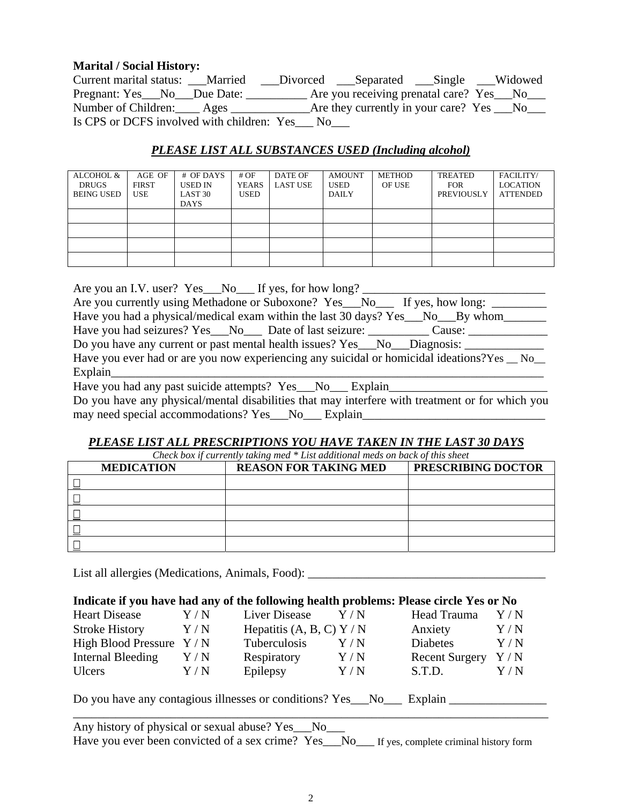## **Marital / Social History:**

| Current marital status: Married                 |      | ___Divorced ___Separated ___Single ___Widowed   |  |
|-------------------------------------------------|------|-------------------------------------------------|--|
| Pregnant: Yes__No__Due Date: _                  |      | Are you receiving prenatal care? Yes __No___    |  |
| Number of Children: <u>____</u> Ages __________ |      | Are they currently in your care? $Yes \t No \t$ |  |
| Is CPS or DCFS involved with children: Yes      | - No |                                                 |  |

# *PLEASE LIST ALL SUBSTANCES USED (Including alcohol)*

| ALCOHOL &<br><b>DRUGS</b><br><b>BEING USED</b> | AGE OF<br><b>FIRST</b><br>USE | # OF DAYS<br><b>USED IN</b><br>LAST <sub>30</sub><br><b>DAYS</b> | #OF<br><b>YEARS</b><br>USED | DATE OF<br><b>LAST USE</b> | <b>AMOUNT</b><br><b>USED</b><br><b>DAILY</b> | <b>METHOD</b><br>OF USE | <b>TREATED</b><br><b>FOR</b><br>PREVIOUSLY | FACILITY/<br><b>LOCATION</b><br><b>ATTENDED</b> |
|------------------------------------------------|-------------------------------|------------------------------------------------------------------|-----------------------------|----------------------------|----------------------------------------------|-------------------------|--------------------------------------------|-------------------------------------------------|
|                                                |                               |                                                                  |                             |                            |                                              |                         |                                            |                                                 |
|                                                |                               |                                                                  |                             |                            |                                              |                         |                                            |                                                 |
|                                                |                               |                                                                  |                             |                            |                                              |                         |                                            |                                                 |
|                                                |                               |                                                                  |                             |                            |                                              |                         |                                            |                                                 |

Are you an I.V. user? Yes  $\quad$  No  $\quad$  If yes, for how long?

| Are you currently using Methadone or Suboxone? Yes__No___ If yes, how long: |  |  |
|-----------------------------------------------------------------------------|--|--|

Have you had a physical/medical exam within the last 30 days? Yes\_\_No\_\_By whom\_\_\_\_\_\_ Have you had seizures? Yes\_\_No\_\_\_ Date of last seizure: \_\_\_\_\_\_\_\_\_ Cause: \_\_\_\_\_\_\_\_

Do you have any current or past mental health issues? Yes\_\_\_No\_\_\_Diagnosis: \_\_\_\_\_\_\_\_\_\_\_\_\_\_\_\_\_\_\_\_\_\_\_\_\_\_\_\_\_\_\_\_\_\_

Have you ever had or are you now experiencing any suicidal or homicidal ideations?Yes No Explain\_\_\_\_\_\_\_\_\_\_\_\_\_\_\_\_\_\_\_\_\_\_\_\_\_\_\_\_\_\_\_\_\_\_\_\_\_\_\_\_\_\_\_\_\_\_\_\_\_\_\_\_\_\_\_\_\_\_\_\_\_\_\_\_\_\_\_\_\_\_\_

Have you had any past suicide attempts? Yes\_\_\_No\_\_\_ Explain\_\_\_\_\_\_\_\_\_\_\_\_\_\_\_\_\_\_\_\_\_\_\_\_\_\_

Do you have any physical/mental disabilities that may interfere with treatment or for which you may need special accommodations? Yes No Explain

# *PLEASE LIST ALL PRESCRIPTIONS YOU HAVE TAKEN IN THE LAST 30 DAYS*

*Check box if currently taking med \* List additional meds on back of this sheet* 

| <b>MEDICATION</b> | <b>REASON FOR TAKING MED</b> | PRESCRIBING DOCTOR |
|-------------------|------------------------------|--------------------|
|                   |                              |                    |
|                   |                              |                    |
|                   |                              |                    |
|                   |                              |                    |
|                   |                              |                    |

List all allergies (Medications, Animals, Food): \_\_\_\_\_\_\_\_\_\_\_\_\_\_\_\_\_\_\_\_\_\_\_\_\_\_\_\_\_\_\_\_

### **Indicate if you have had any of the following health problems: Please circle Yes or No**

| <b>Heart Disease</b>      | Y/N               | Liver Disease               | Y/N | Head Trauma           | Y/N               |
|---------------------------|-------------------|-----------------------------|-----|-----------------------|-------------------|
| <b>Stroke History</b>     | Y/N               | Hepatitis $(A, B, C)$ Y / N |     | Anxiety               | Y/N               |
| High Blood Pressure $Y/N$ |                   | Tuberculosis                | Y/N | <b>Diabetes</b>       | Y/N               |
| Internal Bleeding         | Y/N               | Respiratory                 | Y/N | <b>Recent Surgery</b> | $\rm Y/N$         |
| Ulcers                    | $\rm Y$ / $\rm N$ | Epilepsy                    | Y/N | S.T.D.                | $\rm Y$ / $\rm N$ |
|                           |                   |                             |     |                       |                   |

Do you have any contagious illnesses or conditions? Yes No. Explain

Any history of physical or sexual abuse? Yes\_\_\_No\_\_\_ Have you ever been convicted of a sex crime? Yes No If yes, complete criminal history form

\_\_\_\_\_\_\_\_\_\_\_\_\_\_\_\_\_\_\_\_\_\_\_\_\_\_\_\_\_\_\_\_\_\_\_\_\_\_\_\_\_\_\_\_\_\_\_\_\_\_\_\_\_\_\_\_\_\_\_\_\_\_\_\_\_\_\_\_\_\_\_\_\_\_\_\_\_\_